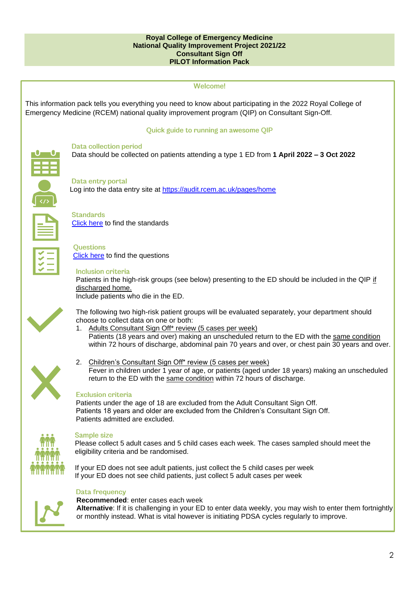#### **Royal College of Emergency Medicine National Quality Improvement Project 2021/22 Consultant Sign Off PILOT Information Pack**



This information pack tells you everything you need to know about participating in the 2022 Royal College of Emergency Medicine (RCEM) national quality improvement program (QIP) on Consultant Sign-Off.

#### Quick guide to running an awesome QIP



#### **Data collection period**

Data should be collected on patients attending a type 1 ED from **1 April 2022 – 3 Oct 2022**



#### Data entry portal

Log into the data entry site at<https://audit.rcem.ac.uk/pages/home>



**Standards** [Click here](#page-5-0) to find the standards



**Ouestions** [Click here](#page-9-0) to find the questions

#### **Inclusion criteria**

Patients in the high-risk groups (see below) presenting to the ED should be included in the QIP if discharged home.

Include patients who die in the ED.



The following two high-risk patient groups will be evaluated separately, your department should choose to collect data on one or both:

- 1. Adults Consultant Sign Off\* review (5 cases per week) Patients (18 years and over) making an unscheduled return to the ED with the same condition within 72 hours of discharge, abdominal pain 70 years and over, or chest pain 30 years and over.
- 2. Children's Consultant Sign Off\* review (5 cases per week) Fever in children under 1 year of age, or patients (aged under 18 years) making an unscheduled return to the ED with the same condition within 72 hours of discharge.

#### **Exclusion criteria**

Patients under the age of 18 are excluded from the Adult Consultant Sign Off. Patients 18 years and older are excluded from the Children's Consultant Sign Off. Patients admitted are excluded.



#### **Sample size**

Please collect 5 adult cases and 5 child cases each week. The cases sampled should meet the eligibility criteria and be randomised.

If your ED does not see adult patients, just collect the 5 child cases per week If your ED does not see child patients, just collect 5 adult cases per week

#### **Data frequency**

**Recommended**: enter cases each week **Alternative**: If it is challenging in your ED to enter data weekly, you may wish to enter them fortnightly or monthly instead. What is vital however is initiating PDSA cycles regularly to improve.

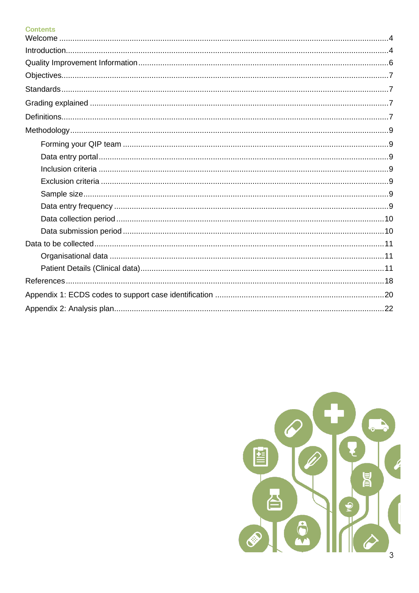# **Contents**

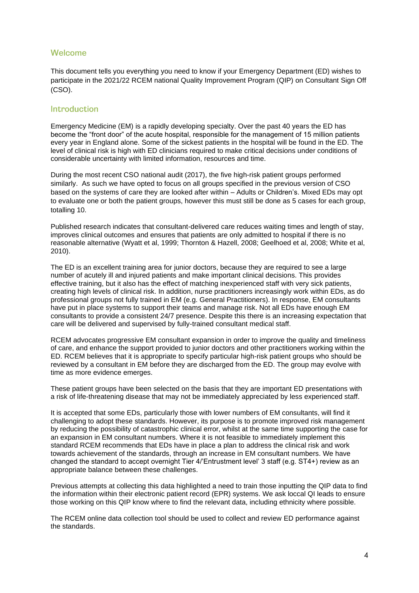# Welcome

This document tells you everything you need to know if your Emergency Department (ED) wishes to participate in the 2021/22 RCEM national Quality Improvement Program (QIP) on Consultant Sign Off (CSO).

#### <span id="page-2-0"></span>**Introduction**

Emergency Medicine (EM) is a rapidly developing specialty. Over the past 40 years the ED has become the "front door" of the acute hospital, responsible for the management of 15 million patients every year in England alone. Some of the sickest patients in the hospital will be found in the ED. The level of clinical risk is high with ED clinicians required to make critical decisions under conditions of considerable uncertainty with limited information, resources and time.

During the most recent CSO national audit (2017), the five high-risk patient groups performed similarly. As such we have opted to focus on all groups specified in the previous version of CSO based on the systems of care they are looked after within – Adults or Children's. Mixed EDs may opt to evaluate one or both the patient groups, however this must still be done as 5 cases for each group, totalling 10.

Published research indicates that consultant-delivered care reduces waiting times and length of stay, improves clinical outcomes and ensures that patients are only admitted to hospital if there is no reasonable alternative (Wyatt et al, 1999; Thornton & Hazell, 2008; Geelhoed et al, 2008; White et al, 2010).

The ED is an excellent training area for junior doctors, because they are required to see a large number of acutely ill and injured patients and make important clinical decisions. This provides effective training, but it also has the effect of matching inexperienced staff with very sick patients, creating high levels of clinical risk. In addition, nurse practitioners increasingly work within EDs, as do professional groups not fully trained in EM (e.g. General Practitioners). In response, EM consultants have put in place systems to support their teams and manage risk. Not all EDs have enough EM consultants to provide a consistent 24/7 presence. Despite this there is an increasing expectation that care will be delivered and supervised by fully-trained consultant medical staff.

RCEM advocates progressive EM consultant expansion in order to improve the quality and timeliness of care, and enhance the support provided to junior doctors and other practitioners working within the ED. RCEM believes that it is appropriate to specify particular high-risk patient groups who should be reviewed by a consultant in EM before they are discharged from the ED. The group may evolve with time as more evidence emerges.

These patient groups have been selected on the basis that they are important ED presentations with a risk of life-threatening disease that may not be immediately appreciated by less experienced staff.

It is accepted that some EDs, particularly those with lower numbers of EM consultants, will find it challenging to adopt these standards. However, its purpose is to promote improved risk management by reducing the possibility of catastrophic clinical error, whilst at the same time supporting the case for an expansion in EM consultant numbers. Where it is not feasible to immediately implement this standard RCEM recommends that EDs have in place a plan to address the clinical risk and work towards achievement of the standards, through an increase in EM consultant numbers. We have changed the standard to accept overnight Tier 4/'Entrustment level' 3 staff (e.g. ST4+) review as an appropriate balance between these challenges.

Previous attempts at collecting this data highlighted a need to train those inputting the QIP data to find the information within their electronic patient record (EPR) systems. We ask loccal QI leads to ensure those working on this QIP know where to find the relevant data, including ethnicity where possible.

The RCEM online data collection tool should be used to collect and review ED performance against the standards.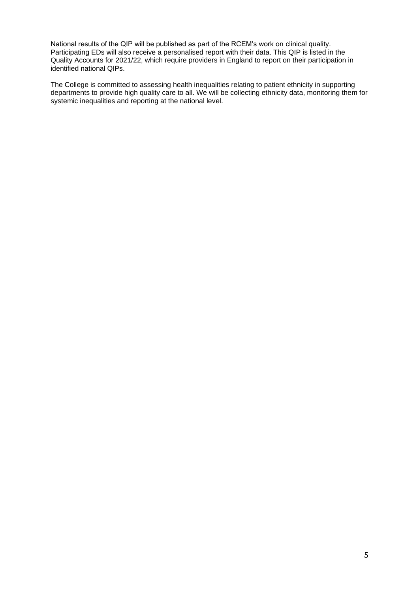National results of the QIP will be published as part of the RCEM's work on clinical quality. Participating EDs will also receive a personalised report with their data. This QIP is listed in the Quality Accounts for 2021/22, which require providers in England to report on their participation in identified national QIPs.

The College is committed to assessing health inequalities relating to patient ethnicity in supporting departments to provide high quality care to all. We will be collecting ethnicity data, monitoring them for systemic inequalities and reporting at the national level.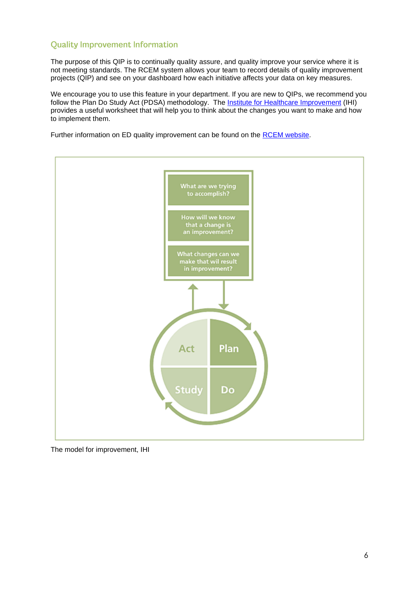# <span id="page-4-0"></span>**Quality Improvement Information**

The purpose of this QIP is to continually quality assure, and quality improve your service where it is not meeting standards. The RCEM system allows your team to record details of quality improvement projects (QIP) and see on your dashboard how each initiative affects your data on key measures.

We encourage you to use this feature in your department. If you are new to QIPs, we recommend you follow the Plan Do Study Act (PDSA) methodology. The [Institute for Healthcare Improvement](http://www.ihi.org/resources/Pages/Tools/PlanDoStudyActWorksheet.aspx) (IHI) provides a useful worksheet that will help you to think about the changes you want to make and how to implement them.

Further information on ED quality improvement can be found on the [RCEM website.](https://rcem.ac.uk/quality-improvement-resources/)



The model for improvement, IHI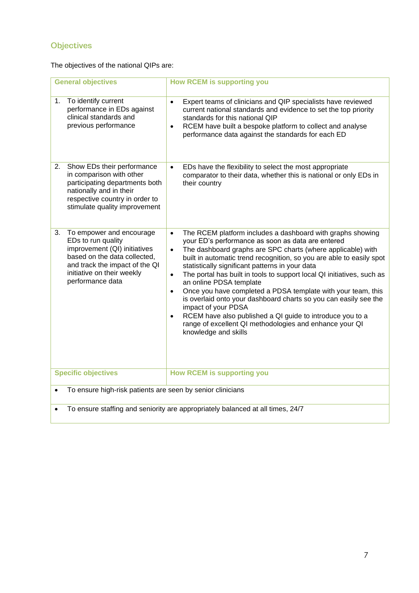# <span id="page-5-1"></span>Objectives

The objectives of the national QIPs are:

<span id="page-5-0"></span>

| <b>General objectives</b>                                                                                                                                                                                | <b>How RCEM is supporting you</b>                                                                                                                                                                                                                                                                                                                                                                                                                                                                                                                                                                                                                                                                                                                                                          |  |  |  |
|----------------------------------------------------------------------------------------------------------------------------------------------------------------------------------------------------------|--------------------------------------------------------------------------------------------------------------------------------------------------------------------------------------------------------------------------------------------------------------------------------------------------------------------------------------------------------------------------------------------------------------------------------------------------------------------------------------------------------------------------------------------------------------------------------------------------------------------------------------------------------------------------------------------------------------------------------------------------------------------------------------------|--|--|--|
| To identify current<br>1.<br>performance in EDs against<br>clinical standards and<br>previous performance                                                                                                | Expert teams of clinicians and QIP specialists have reviewed<br>$\bullet$<br>current national standards and evidence to set the top priority<br>standards for this national QIP<br>RCEM have built a bespoke platform to collect and analyse<br>$\bullet$<br>performance data against the standards for each ED                                                                                                                                                                                                                                                                                                                                                                                                                                                                            |  |  |  |
| Show EDs their performance<br>2.<br>in comparison with other<br>participating departments both<br>nationally and in their<br>respective country in order to<br>stimulate quality improvement             | EDs have the flexibility to select the most appropriate<br>$\bullet$<br>comparator to their data, whether this is national or only EDs in<br>their country                                                                                                                                                                                                                                                                                                                                                                                                                                                                                                                                                                                                                                 |  |  |  |
| To empower and encourage<br>3.<br>EDs to run quality<br>improvement (QI) initiatives<br>based on the data collected,<br>and track the impact of the QI<br>initiative on their weekly<br>performance data | The RCEM platform includes a dashboard with graphs showing<br>$\bullet$<br>your ED's performance as soon as data are entered<br>The dashboard graphs are SPC charts (where applicable) with<br>$\bullet$<br>built in automatic trend recognition, so you are able to easily spot<br>statistically significant patterns in your data<br>The portal has built in tools to support local QI initiatives, such as<br>$\bullet$<br>an online PDSA template<br>Once you have completed a PDSA template with your team, this<br>$\bullet$<br>is overlaid onto your dashboard charts so you can easily see the<br>impact of your PDSA<br>RCEM have also published a QI guide to introduce you to a<br>$\bullet$<br>range of excellent QI methodologies and enhance your QI<br>knowledge and skills |  |  |  |
| <b>Specific objectives</b>                                                                                                                                                                               | <b>How RCEM is supporting you</b>                                                                                                                                                                                                                                                                                                                                                                                                                                                                                                                                                                                                                                                                                                                                                          |  |  |  |
| To ensure high-risk patients are seen by senior clinicians                                                                                                                                               |                                                                                                                                                                                                                                                                                                                                                                                                                                                                                                                                                                                                                                                                                                                                                                                            |  |  |  |
| To ensure staffing and seniority are appropriately balanced at all times, 24/7<br>$\bullet$                                                                                                              |                                                                                                                                                                                                                                                                                                                                                                                                                                                                                                                                                                                                                                                                                                                                                                                            |  |  |  |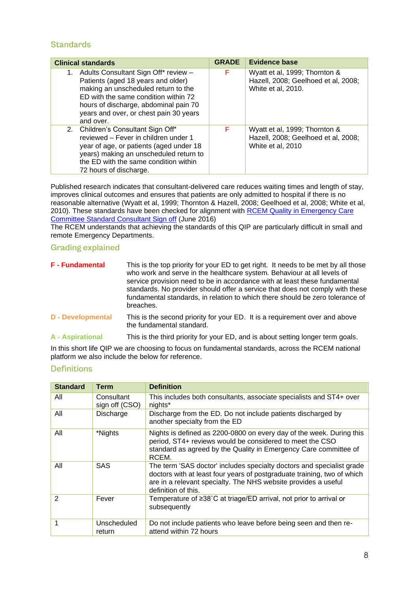# **Standards**

| <b>Clinical standards</b>                                                                                                                                                                                                                                       | <b>GRADE</b> | <b>Evidence base</b>                                                                       |
|-----------------------------------------------------------------------------------------------------------------------------------------------------------------------------------------------------------------------------------------------------------------|--------------|--------------------------------------------------------------------------------------------|
| Adults Consultant Sign Off* review -<br>1.<br>Patients (aged 18 years and older)<br>making an unscheduled return to the<br>ED with the same condition within 72<br>hours of discharge, abdominal pain 70<br>years and over, or chest pain 30 years<br>and over. | F            | Wyatt et al, 1999; Thornton &<br>Hazell, 2008; Geelhoed et al, 2008;<br>White et al, 2010. |
| 2. Children's Consultant Sign Off*<br>reviewed – Fever in children under 1<br>year of age, or patients (aged under 18<br>years) making an unscheduled return to<br>the ED with the same condition within<br>72 hours of discharge.                              | F            | Wyatt et al, 1999; Thornton &<br>Hazell, 2008; Geelhoed et al, 2008;<br>White et al, 2010  |

Published research indicates that consultant-delivered care reduces waiting times and length of stay, improves clinical outcomes and ensures that patients are only admitted to hospital if there is no reasonable alternative (Wyatt et al, 1999; Thornton & Hazell, 2008; Geelhoed et al, 2008; White et al, 2010). These standards have been checked for alignment with RCEM Quality in Emergency Care [Committee Standard Consultant Sign off](https://res.cloudinary.com/studio-republic/images/v1635599020/Consultant_Sign_Off_Standard_June_2016/Consultant_Sign_Off_Standard_June_2016.pdf?_i=AA) (June 2016)

The RCEM understands that achieving the standards of this QIP are particularly difficult in small and remote Emergency Departments.

## <span id="page-6-0"></span>**Grading explained**

| <b>F</b> - Fundamental   | This is the top priority for your ED to get right. It needs to be met by all those<br>who work and serve in the healthcare system. Behaviour at all levels of<br>service provision need to be in accordance with at least these fundamental<br>standards. No provider should offer a service that does not comply with these<br>fundamental standards, in relation to which there should be zero tolerance of<br>breaches. |
|--------------------------|----------------------------------------------------------------------------------------------------------------------------------------------------------------------------------------------------------------------------------------------------------------------------------------------------------------------------------------------------------------------------------------------------------------------------|
| <b>D</b> - Developmental | This is the second priority for your ED. It is a requirement over and above<br>the fundamental standard.                                                                                                                                                                                                                                                                                                                   |
| <b>A</b> - Aspirational  | This is the third priority for your ED, and is about setting longer term goals.                                                                                                                                                                                                                                                                                                                                            |

In this short life QIP we are choosing to focus on fundamental standards, across the RCEM national platform we also include the below for reference.

# <span id="page-6-1"></span>**Definitions**

<span id="page-6-2"></span>

| <b>Standard</b> | Term                         | <b>Definition</b>                                                                                                                                                                                                                         |
|-----------------|------------------------------|-------------------------------------------------------------------------------------------------------------------------------------------------------------------------------------------------------------------------------------------|
| All             | Consultant<br>sign off (CSO) | This includes both consultants, associate specialists and ST4+ over<br>nights*                                                                                                                                                            |
| All             | Discharge                    | Discharge from the ED. Do not include patients discharged by<br>another specialty from the ED                                                                                                                                             |
| All             | *Nights                      | Nights is defined as 2200-0800 on every day of the week. During this<br>period, ST4+ reviews would be considered to meet the CSO<br>standard as agreed by the Quality in Emergency Care committee of<br>RCEM.                             |
| All             | SAS                          | The term 'SAS doctor' includes specialty doctors and specialist grade<br>doctors with at least four years of postgraduate training, two of which<br>are in a relevant specialty. The NHS website provides a useful<br>definition of this. |
| $\mathfrak{p}$  | Fever                        | Temperature of ≥38°C at triage/ED arrival, not prior to arrival or<br>subsequently                                                                                                                                                        |
| 1               | Unscheduled<br>return        | Do not include patients who leave before being seen and then re-<br>attend within 72 hours                                                                                                                                                |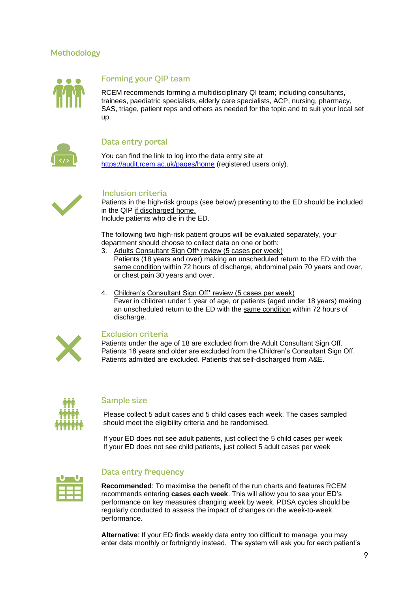# Methodology



# Forming your QIP team

<span id="page-7-0"></span>RCEM recommends forming a multidisciplinary QI team; including consultants, trainees, paediatric specialists, elderly care specialists, ACP, nursing, pharmacy, SAS, triage, patient reps and others as needed for the topic and to suit your local set up.

<span id="page-7-1"></span>

#### Data entry portal

You can find the link to log into the data entry site at <https://audit.rcem.ac.uk/pages/home> (registered users only).



#### **Inclusion criteria**

<span id="page-7-2"></span>Patients in the high-risk groups (see below) presenting to the ED should be included in the QIP if discharged home. Include patients who die in the ED.

The following two high-risk patient groups will be evaluated separately, your department should choose to collect data on one or both:

- 3. Adults Consultant Sign Off\* review (5 cases per week) Patients (18 years and over) making an unscheduled return to the ED with the same condition within 72 hours of discharge, abdominal pain 70 years and over, or chest pain 30 years and over.
- 4. Children's Consultant Sign Off\* review (5 cases per week) Fever in children under 1 year of age, or patients (aged under 18 years) making an unscheduled return to the ED with the same condition within 72 hours of discharge.



## <span id="page-7-3"></span>**Exclusion criteria**

Patients under the age of 18 are excluded from the Adult Consultant Sign Off. Patients 18 years and older are excluded from the Children's Consultant Sign Off. Patients admitted are excluded. Patients that self-discharged from A&E.



## **Sample size**

<span id="page-7-4"></span>Please collect 5 adult cases and 5 child cases each week. The cases sampled should meet the eligibility criteria and be randomised.

If your ED does not see adult patients, just collect the 5 child cases per week If your ED does not see child patients, just collect 5 adult cases per week



# <span id="page-7-5"></span>**Data entry frequency**

**Recommended**: To maximise the benefit of the run charts and features RCEM recommends entering **cases each week**. This will allow you to see your ED's performance on key measures changing week by week. PDSA cycles should be regularly conducted to assess the impact of changes on the week-to-week performance.

**Alternative**: If your ED finds weekly data entry too difficult to manage, you may enter data monthly or fortnightly instead. The system will ask you for each patient's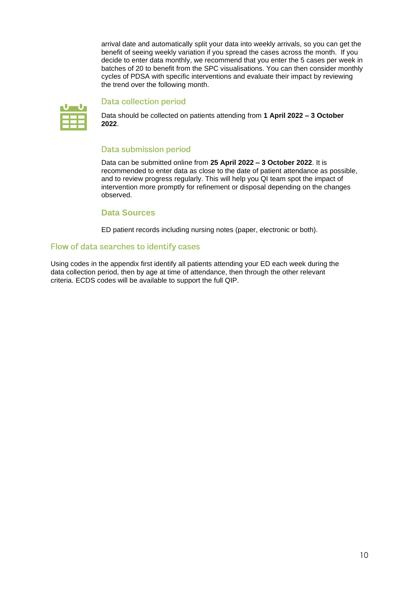arrival date and automatically split your data into weekly arrivals, so you can get the benefit of seeing weekly variation if you spread the cases across the month. If you decide to enter data monthly, we recommend that you enter the 5 cases per week in batches of 20 to benefit from the SPC visualisations. You can then consider monthly cycles of PDSA with specific interventions and evaluate their impact by reviewing the trend over the following month.

<span id="page-8-1"></span>

#### **Data collection period**

<span id="page-8-0"></span>Data should be collected on patients attending from **1 April 2022 – 3 October 2022**.

## **Data submission period**

Data can be submitted online from **25 April 2022 – 3 October 2022**. It is recommended to enter data as close to the date of patient attendance as possible, and to review progress regularly. This will help you QI team spot the impact of intervention more promptly for refinement or disposal depending on the changes observed.

#### **Data Sources**

ED patient records including nursing notes (paper, electronic or both).

#### Flow of data searches to identify cases

Using codes in the appendix first identify all patients attending your ED each week during the data collection period, then by age at time of attendance, then through the other relevant criteria. ECDS codes will be available to support the full QIP.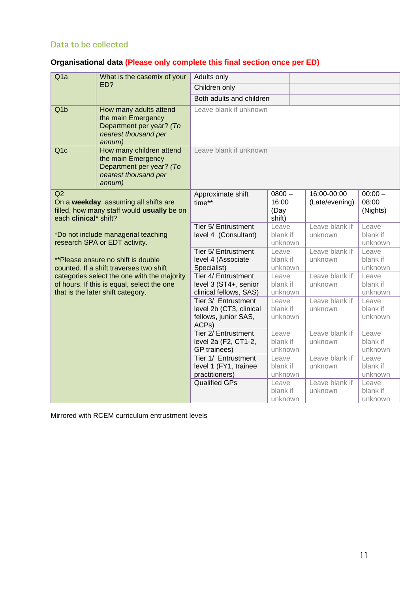# <span id="page-9-1"></span>Data to be collected

# <span id="page-9-2"></span>**Organisational data (Please only complete this final section once per ED)**

<span id="page-9-0"></span>

| Q <sub>1</sub> a            | What is the casemix of your                                                                                                    | Adults only                                                                     |                                     |                               |                                |
|-----------------------------|--------------------------------------------------------------------------------------------------------------------------------|---------------------------------------------------------------------------------|-------------------------------------|-------------------------------|--------------------------------|
|                             | ED?                                                                                                                            | Children only                                                                   |                                     |                               |                                |
|                             |                                                                                                                                | Both adults and children                                                        |                                     |                               |                                |
| Q <sub>1b</sub>             | How many adults attend<br>the main Emergency<br>Department per year? (To<br>nearest thousand per<br>annum)                     | Leave blank if unknown                                                          |                                     |                               |                                |
| Q <sub>1c</sub>             | How many children attend<br>the main Emergency<br>Department per year? (To<br>nearest thousand per<br>annum)                   | Leave blank if unknown                                                          |                                     |                               |                                |
| Q2<br>each clinical* shift? | On a weekday, assuming all shifts are<br>filled, how many staff would usually be on                                            | Approximate shift<br>time**                                                     | $0800 -$<br>16:00<br>(Day<br>shift) | 16:00-00:00<br>(Late/evening) | $00:00 -$<br>08:00<br>(Nights) |
|                             | *Do not include managerial teaching<br>research SPA or EDT activity.                                                           | Tier 5/ Entrustment<br>level 4 (Consultant)                                     | Leave<br>blank if<br>unknown        | Leave blank if<br>unknown     | Leave<br>blank if<br>unknown   |
|                             | **Please ensure no shift is double<br>counted. If a shift traverses two shift                                                  | Tier 5/ Entrustment<br>level 4 (Associate<br>Specialist)                        | Leave<br>blank if<br>unknown        | Leave blank if<br>unknown     | Leave<br>blank if<br>unknown   |
|                             | categories select the one with the majority<br>of hours. If this is equal, select the one<br>that is the later shift category. | Tier 4/ Entrustment<br>level 3 (ST4+, senior<br>clinical fellows, SAS)          | Leave<br>blank if<br>unknown        | Leave blank if<br>unknown     | Leave<br>blank if<br>unknown   |
|                             |                                                                                                                                | Tier 3/ Entrustment<br>level 2b (CT3, clinical<br>fellows, junior SAS,<br>ACPs) | Leave<br>blank if<br>unknown        | Leave blank if<br>unknown     | Leave<br>blank if<br>unknown   |
|                             |                                                                                                                                | Tier 2/ Entrustment<br>level 2a (F2, CT1-2,<br>GP trainees)                     | Leave<br>blank if<br>unknown        | Leave blank if<br>unknown     | Leave<br>blank if<br>unknown   |
|                             |                                                                                                                                | Tier 1/ Entrustment<br>level 1 (FY1, trainee<br>practitioners)                  | Leave<br>blank if<br>unknown        | Leave blank if<br>unknown     | Leave<br>blank if<br>unknown   |
|                             |                                                                                                                                | Qualified GPs                                                                   | Leave<br>blank if<br>unknown        | Leave blank if<br>unknown     | Leave<br>blank if<br>unknown   |

Mirrored with RCEM curriculum entrustment levels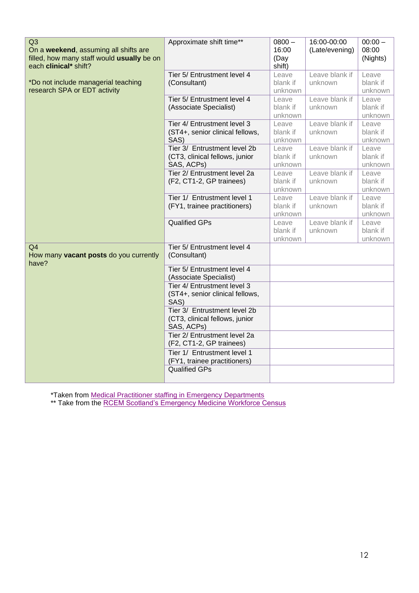| Q3<br>On a weekend, assuming all shifts are<br>filled, how many staff would usually be on<br>each clinical* shift? | Approximate shift time**                                                     | $0800 -$<br>16:00<br>(Day<br>shift) | 16:00-00:00<br>(Late/evening) | $00:00 -$<br>08:00<br>(Nights) |
|--------------------------------------------------------------------------------------------------------------------|------------------------------------------------------------------------------|-------------------------------------|-------------------------------|--------------------------------|
| *Do not include managerial teaching<br>research SPA or EDT activity                                                | Tier 5/ Entrustment level 4<br>(Consultant)                                  | Leave<br>blank if<br>unknown        | Leave blank if<br>unknown     | Leave<br>blank if<br>unknown   |
|                                                                                                                    | Tier 5/ Entrustment level 4<br>(Associate Specialist)                        | Leave<br>blank if<br>unknown        | Leave blank if<br>unknown     | Leave<br>blank if<br>unknown   |
|                                                                                                                    | Tier 4/ Entrustment level 3<br>(ST4+, senior clinical fellows,<br>SAS)       | Leave<br>blank if<br>unknown        | Leave blank if<br>unknown     | Leave<br>blank if<br>unknown   |
|                                                                                                                    | Tier 3/ Entrustment level 2b<br>(CT3, clinical fellows, junior<br>SAS, ACPs) | Leave<br>blank if<br>unknown        | Leave blank if<br>unknown     | Leave<br>blank if<br>unknown   |
|                                                                                                                    | Tier 2/ Entrustment level 2a<br>(F2, CT1-2, GP trainees)                     | Leave<br>blank if<br>unknown        | Leave blank if<br>unknown     | Leave<br>blank if<br>unknown   |
|                                                                                                                    | Tier 1/ Entrustment level 1<br>(FY1, trainee practitioners)                  | Leave<br>blank if<br>unknown        | Leave blank if<br>unknown     | Leave<br>blank if<br>unknown   |
|                                                                                                                    | <b>Qualified GPs</b>                                                         | Leave<br>blank if<br>unknown        | Leave blank if<br>unknown     | Leave<br>blank if<br>unknown   |
| Q <sub>4</sub><br>How many vacant posts do you currently<br>have?                                                  | Tier 5/ Entrustment level 4<br>(Consultant)                                  |                                     |                               |                                |
|                                                                                                                    | Tier 5/ Entrustment level 4<br>(Associate Specialist)                        |                                     |                               |                                |
|                                                                                                                    | Tier 4/ Entrustment level 3<br>(ST4+, senior clinical fellows,<br>SAS)       |                                     |                               |                                |
|                                                                                                                    | Tier 3/ Entrustment level 2b<br>(CT3, clinical fellows, junior<br>SAS, ACPs) |                                     |                               |                                |
|                                                                                                                    | Tier 2/ Entrustment level 2a<br>(F2, CT1-2, GP trainees)                     |                                     |                               |                                |
|                                                                                                                    | Tier 1/ Entrustment level 1<br>(FY1, trainee practitioners)                  |                                     |                               |                                |
|                                                                                                                    | <b>Qualified GPs</b>                                                         |                                     |                               |                                |

\*Taken from [Medical Practitioner staffing in Emergency Departments](https://rcem.ac.uk/wp-content/uploads/2021/11/RCEM_Medical_and_Practitioner_Staffing_in_EDs.pdf)

\*\* Take from the [RCEM Scotland's Emergency Medicine Workforce Census](https://res.cloudinary.com/studio-republic/images/v1634657721/Scotlands_Emergency_Medicine_Workforce_Census/Scotlands_Emergency_Medicine_Workforce_Census.pdf?_i=AA)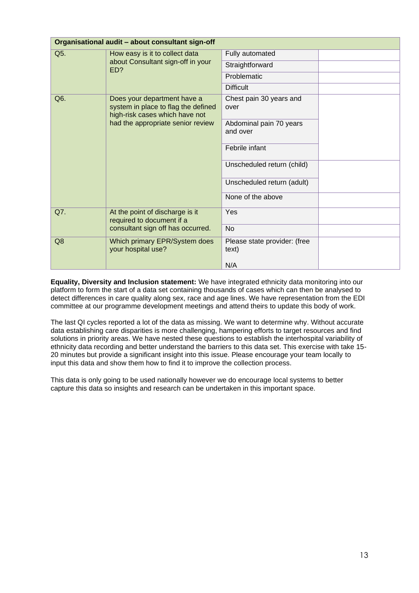| Organisational audit - about consultant sign-off                                                                                                 |                                                              |                                       |  |
|--------------------------------------------------------------------------------------------------------------------------------------------------|--------------------------------------------------------------|---------------------------------------|--|
| Q5.                                                                                                                                              | How easy is it to collect data                               | Fully automated                       |  |
|                                                                                                                                                  | about Consultant sign-off in your<br>ED?                     | Straightforward                       |  |
|                                                                                                                                                  |                                                              | Problematic                           |  |
|                                                                                                                                                  |                                                              | <b>Difficult</b>                      |  |
| Q6.<br>Does your department have a<br>system in place to flag the defined<br>high-risk cases which have not<br>had the appropriate senior review | Chest pain 30 years and<br>over                              |                                       |  |
|                                                                                                                                                  | Abdominal pain 70 years<br>and over                          |                                       |  |
|                                                                                                                                                  |                                                              | Febrile infant                        |  |
|                                                                                                                                                  | Unscheduled return (child)                                   |                                       |  |
|                                                                                                                                                  |                                                              | Unscheduled return (adult)            |  |
|                                                                                                                                                  |                                                              | None of the above                     |  |
| Q7.                                                                                                                                              | At the point of discharge is it<br>required to document if a | Yes                                   |  |
|                                                                                                                                                  | consultant sign off has occurred.                            | No                                    |  |
| Q <sub>8</sub>                                                                                                                                   | Which primary EPR/System does<br>your hospital use?          | Please state provider: (free<br>text) |  |
|                                                                                                                                                  |                                                              | N/A                                   |  |

**Equality, Diversity and Inclusion statement:** We have integrated ethnicity data monitoring into our platform to form the start of a data set containing thousands of cases which can then be analysed to detect differences in care quality along sex, race and age lines. We have representation from the EDI committee at our programme development meetings and attend theirs to update this body of work.

The last QI cycles reported a lot of the data as missing. We want to determine why. Without accurate data establishing care disparities is more challenging, hampering efforts to target resources and find solutions in priority areas. We have nested these questions to establish the interhospital variability of ethnicity data recording and better understand the barriers to this data set. This exercise with take 15- 20 minutes but provide a significant insight into this issue. Please encourage your team locally to input this data and show them how to find it to improve the collection process.

This data is only going to be used nationally however we do encourage local systems to better capture this data so insights and research can be undertaken in this important space.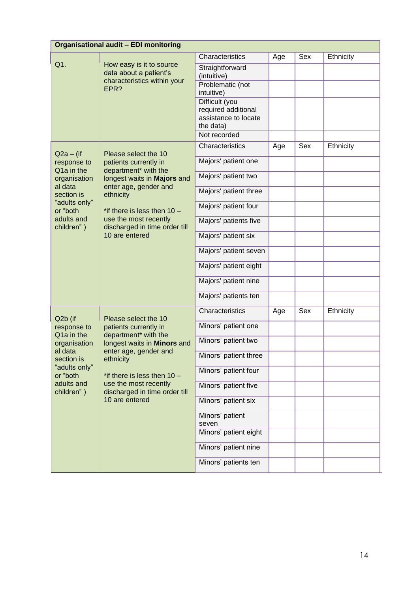| <b>Organisational audit - EDI monitoring</b> |                                                                                        |                                                                            |     |     |           |
|----------------------------------------------|----------------------------------------------------------------------------------------|----------------------------------------------------------------------------|-----|-----|-----------|
|                                              |                                                                                        | Characteristics                                                            | Age | Sex | Ethnicity |
| Q1.                                          | How easy is it to source<br>data about a patient's                                     | Straightforward<br>(intuitive)                                             |     |     |           |
|                                              | characteristics within your<br>EPR?                                                    | Problematic (not<br>intuitive)                                             |     |     |           |
|                                              |                                                                                        | Difficult (you<br>required additional<br>assistance to locate<br>the data) |     |     |           |
|                                              |                                                                                        | Not recorded                                                               |     |     |           |
| $Q2a - (if)$                                 | Please select the 10                                                                   | Characteristics                                                            | Age | Sex | Ethnicity |
| response to<br>Q1a in the                    | patients currently in<br>department* with the                                          | Majors' patient one                                                        |     |     |           |
| organisation                                 | longest waits in Majors and                                                            | Majors' patient two                                                        |     |     |           |
| al data<br>section is                        | enter age, gender and<br>ethnicity                                                     | Majors' patient three                                                      |     |     |           |
| "adults only"<br>or "both                    | *if there is less then $10 -$                                                          | Majors' patient four                                                       |     |     |           |
| adults and<br>children")                     | use the most recently<br>discharged in time order till                                 | Majors' patients five                                                      |     |     |           |
|                                              | 10 are entered                                                                         | Majors' patient six                                                        |     |     |           |
|                                              |                                                                                        | Majors' patient seven                                                      |     |     |           |
|                                              |                                                                                        | Majors' patient eight                                                      |     |     |           |
|                                              |                                                                                        | Majors' patient nine                                                       |     |     |           |
|                                              | Majors' patients ten                                                                   |                                                                            |     |     |           |
| Q2b (if                                      | Please select the 10                                                                   | Characteristics                                                            | Age | Sex | Ethnicity |
| response to                                  | patients currently in                                                                  | Minors' patient one                                                        |     |     |           |
| Q1a in the<br>organisation                   | department* with the<br>longest waits in Minors and                                    | Minors' patient two                                                        |     |     |           |
| al data<br>section is                        | enter age, gender and<br>ethnicity                                                     | Minors' patient three                                                      |     |     |           |
| "adults only"<br>or "both                    | *if there is less then $10 -$                                                          | Minors' patient four                                                       |     |     |           |
| children")                                   | adults and<br>use the most recently<br>discharged in time order till<br>10 are entered | Minors' patient five                                                       |     |     |           |
|                                              |                                                                                        | Minors' patient six                                                        |     |     |           |
|                                              |                                                                                        | Minors' patient<br>seven                                                   |     |     |           |
|                                              |                                                                                        | Minors' patient eight                                                      |     |     |           |
|                                              |                                                                                        | Minors' patient nine                                                       |     |     |           |
|                                              |                                                                                        | Minors' patients ten                                                       |     |     |           |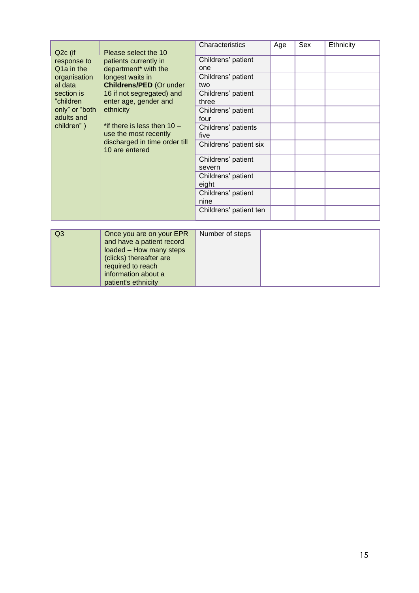| Q <sub>2</sub> c (if                                                          | Please select the 10                                   | Characteristics              | Age | Sex | Ethnicity |
|-------------------------------------------------------------------------------|--------------------------------------------------------|------------------------------|-----|-----|-----------|
| response to<br>Q <sub>1</sub> a in the                                        | patients currently in<br>department* with the          | Childrens' patient<br>one    |     |     |           |
| organisation<br>al data                                                       | longest waits in<br><b>Childrens/PED (Or under</b>     | Childrens' patient<br>two    |     |     |           |
| 16 if not segregated) and<br>section is<br>enter age, gender and<br>"children | Childrens' patient<br>three                            |                              |     |     |           |
| only" or "both<br>adults and                                                  | ethnicity                                              | Childrens' patient<br>four   |     |     |           |
| children")                                                                    | *if there is less then $10 -$<br>use the most recently | Childrens' patients<br>five  |     |     |           |
|                                                                               | discharged in time order till<br>10 are entered        | Childrens' patient six       |     |     |           |
|                                                                               |                                                        | Childrens' patient<br>severn |     |     |           |
|                                                                               |                                                        | Childrens' patient<br>eight  |     |     |           |
|                                                                               |                                                        | Childrens' patient<br>nine   |     |     |           |
|                                                                               |                                                        | Childrens' patient ten       |     |     |           |

| $\sqrt{Q3}$ | Once you are on your EPR<br>and have a patient record<br>loaded - How many steps<br>(clicks) thereafter are<br>required to reach | Number of steps |  |
|-------------|----------------------------------------------------------------------------------------------------------------------------------|-----------------|--|
|             | information about a                                                                                                              |                 |  |
|             | patient's ethnicity                                                                                                              |                 |  |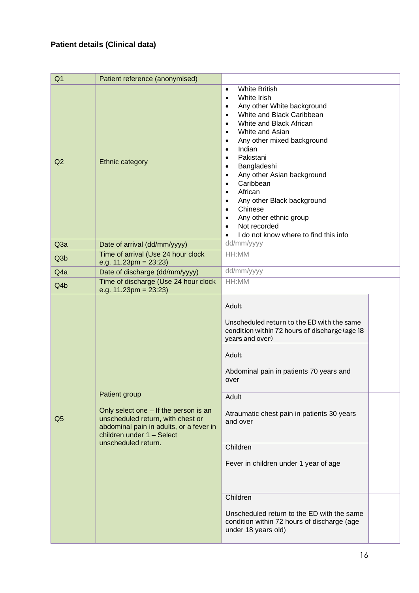<span id="page-14-0"></span>

| Q <sub>1</sub>   | Patient reference (anonymised)                                                                                                                                            |                                                                                                                                                                                                                                                                                                                                                                                                                                                                                                                                                                                                       |
|------------------|---------------------------------------------------------------------------------------------------------------------------------------------------------------------------|-------------------------------------------------------------------------------------------------------------------------------------------------------------------------------------------------------------------------------------------------------------------------------------------------------------------------------------------------------------------------------------------------------------------------------------------------------------------------------------------------------------------------------------------------------------------------------------------------------|
| Q2               | <b>Ethnic category</b>                                                                                                                                                    | <b>White British</b><br>$\bullet$<br>White Irish<br>$\bullet$<br>Any other White background<br>$\bullet$<br>White and Black Caribbean<br>$\bullet$<br>White and Black African<br>$\bullet$<br>White and Asian<br>$\bullet$<br>Any other mixed background<br>$\bullet$<br>Indian<br>$\bullet$<br>Pakistani<br>$\bullet$<br>Bangladeshi<br>$\bullet$<br>Any other Asian background<br>$\bullet$<br>Caribbean<br>$\bullet$<br>African<br>$\bullet$<br>Any other Black background<br>$\bullet$<br>Chinese<br>$\bullet$<br>Any other ethnic group<br>Not recorded<br>I do not know where to find this info |
| Q <sub>3</sub> a | Date of arrival (dd/mm/yyyy)                                                                                                                                              | dd/mm/yyyy                                                                                                                                                                                                                                                                                                                                                                                                                                                                                                                                                                                            |
| Q <sub>3</sub> b | Time of arrival (Use 24 hour clock<br>e.g. $11.23 \text{pm} = 23.23$                                                                                                      | HH:MM                                                                                                                                                                                                                                                                                                                                                                                                                                                                                                                                                                                                 |
| Q4a              | Date of discharge (dd/mm/yyyy)                                                                                                                                            | dd/mm/yyyy                                                                                                                                                                                                                                                                                                                                                                                                                                                                                                                                                                                            |
| Q4b              | Time of discharge (Use 24 hour clock<br>e.g. $11.23 \text{pm} = 23.23$                                                                                                    | HH:MM                                                                                                                                                                                                                                                                                                                                                                                                                                                                                                                                                                                                 |
|                  | Patient group                                                                                                                                                             | Adult<br>Unscheduled return to the ED with the same<br>condition within 72 hours of discharge (age 18<br>years and over)<br>Adult<br>Abdominal pain in patients 70 years and<br>over<br>Adult                                                                                                                                                                                                                                                                                                                                                                                                         |
| Q <sub>5</sub>   | Only select one - If the person is an<br>unscheduled return, with chest or<br>abdominal pain in adults, or a fever in<br>children under 1 - Select<br>unscheduled return. | Atraumatic chest pain in patients 30 years<br>and over                                                                                                                                                                                                                                                                                                                                                                                                                                                                                                                                                |
|                  |                                                                                                                                                                           | Children<br>Fever in children under 1 year of age                                                                                                                                                                                                                                                                                                                                                                                                                                                                                                                                                     |
|                  |                                                                                                                                                                           | Children<br>Unscheduled return to the ED with the same<br>condition within 72 hours of discharge (age<br>under 18 years old)                                                                                                                                                                                                                                                                                                                                                                                                                                                                          |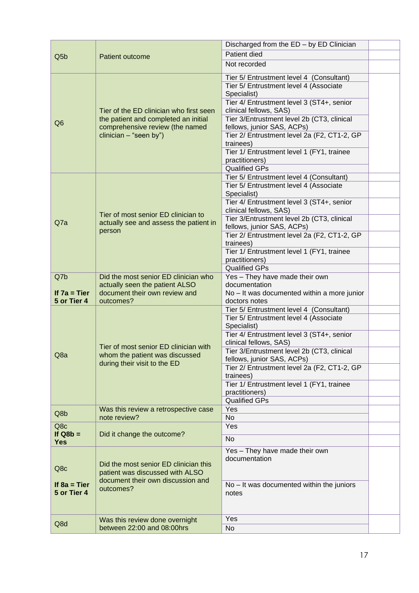|                          |                                         | Discharged from the ED - by ED Clinician                                 |  |
|--------------------------|-----------------------------------------|--------------------------------------------------------------------------|--|
| Q <sub>5</sub> b         | Patient outcome                         | Patient died                                                             |  |
|                          |                                         | Not recorded                                                             |  |
|                          |                                         |                                                                          |  |
|                          |                                         | Tier 5/ Entrustment level 4 (Consultant)                                 |  |
|                          |                                         | Tier 5/ Entrustment level 4 (Associate                                   |  |
|                          |                                         | Specialist)                                                              |  |
|                          |                                         | Tier 4/ Entrustment level 3 (ST4+, senior                                |  |
|                          | Tier of the ED clinician who first seen | clinical fellows, SAS)                                                   |  |
| Q <sub>6</sub>           | the patient and completed an initial    | Tier 3/Entrustment level 2b (CT3, clinical                               |  |
|                          | comprehensive review (the named         | fellows, junior SAS, ACPs)                                               |  |
|                          | clinician - "seen by")                  | Tier 2/ Entrustment level 2a (F2, CT1-2, GP                              |  |
|                          |                                         | trainees)                                                                |  |
|                          |                                         | Tier 1/ Entrustment level 1 (FY1, trainee                                |  |
|                          |                                         | practitioners)                                                           |  |
|                          |                                         | <b>Qualified GPs</b>                                                     |  |
|                          |                                         | Tier 5/ Entrustment level 4 (Consultant)                                 |  |
|                          |                                         | Tier 5/ Entrustment level 4 (Associate                                   |  |
|                          |                                         | Specialist)                                                              |  |
|                          |                                         | Tier 4/ Entrustment level 3 (ST4+, senior                                |  |
|                          | Tier of most senior ED clinician to     | clinical fellows, SAS)                                                   |  |
| Q7a                      | actually see and assess the patient in  | Tier 3/Entrustment level 2b (CT3, clinical<br>fellows, junior SAS, ACPs) |  |
|                          | person                                  | Tier 2/ Entrustment level 2a (F2, CT1-2, GP                              |  |
|                          |                                         | trainees)                                                                |  |
|                          |                                         | Tier 1/ Entrustment level 1 (FY1, trainee                                |  |
|                          |                                         | practitioners)                                                           |  |
|                          |                                         | <b>Qualified GPs</b>                                                     |  |
| Q7b                      | Did the most senior ED clinician who    | Yes - They have made their own                                           |  |
|                          | actually seen the patient ALSO          | documentation                                                            |  |
|                          |                                         |                                                                          |  |
| If $7a = Tier$           | document their own review and           |                                                                          |  |
| 5 or Tier 4              | outcomes?                               | No - It was documented within a more junior<br>doctors notes             |  |
|                          |                                         | Tier 5/ Entrustment level 4 (Consultant)                                 |  |
|                          |                                         | Tier 5/ Entrustment level 4 (Associate                                   |  |
|                          |                                         | Specialist)                                                              |  |
|                          |                                         | Tier 4/ Entrustment level 3 (ST4+, senior                                |  |
|                          |                                         | clinical fellows, SAS)                                                   |  |
|                          | Tier of most senior ED clinician with   | Tier 3/Entrustment level 2b (CT3, clinical                               |  |
| Q8a                      | whom the patient was discussed          | fellows, junior SAS, ACPs)                                               |  |
|                          | during their visit to the ED            | Tier 2/ Entrustment level 2a (F2, CT1-2, GP                              |  |
|                          |                                         | trainees)                                                                |  |
|                          |                                         | Tier 1/ Entrustment level 1 (FY1, trainee                                |  |
|                          |                                         | practitioners)                                                           |  |
|                          |                                         | <b>Qualified GPs</b>                                                     |  |
| Q8b                      | Was this review a retrospective case    | Yes                                                                      |  |
|                          | note review?                            | No                                                                       |  |
| Q8c                      |                                         | Yes                                                                      |  |
| If $Q8b =$<br><b>Yes</b> | Did it change the outcome?              | <b>No</b>                                                                |  |
|                          |                                         | Yes - They have made their own                                           |  |
|                          |                                         | documentation                                                            |  |
| Q8c                      | Did the most senior ED clinician this   |                                                                          |  |
|                          | patient was discussed with ALSO         |                                                                          |  |
| If $8a = Tier$           | document their own discussion and       | No - It was documented within the juniors                                |  |
| 5 or Tier 4              | outcomes?                               | notes                                                                    |  |
|                          |                                         |                                                                          |  |
|                          |                                         |                                                                          |  |
|                          | Was this review done overnight          | Yes                                                                      |  |
| Q8d                      | between 22:00 and 08:00hrs              | No                                                                       |  |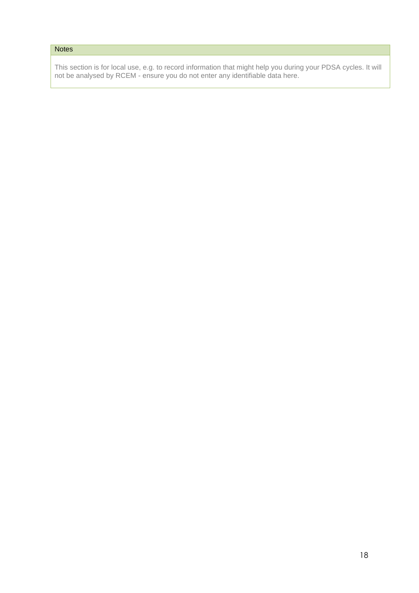# **Notes**

This section is for local use, e.g. to record information that might help you during your PDSA cycles. It will not be analysed by RCEM - ensure you do not enter any identifiable data here.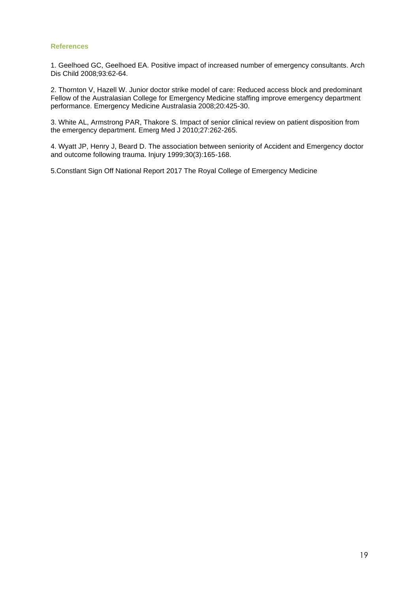#### <span id="page-17-0"></span>**References**

1. Geelhoed GC, Geelhoed EA. Positive impact of increased number of emergency consultants. Arch Dis Child 2008;93:62-64.

2. Thornton V, Hazell W. Junior doctor strike model of care: Reduced access block and predominant Fellow of the Australasian College for Emergency Medicine staffing improve emergency department performance. Emergency Medicine Australasia 2008;20:425-30.

3. White AL, Armstrong PAR, Thakore S. Impact of senior clinical review on patient disposition from the emergency department. Emerg Med J 2010;27:262-265.

4. Wyatt JP, Henry J, Beard D. The association between seniority of Accident and Emergency doctor and outcome following trauma. Injury 1999;30(3):165-168.

5.Constlant Sign Off National Report 2017 The Royal College of Emergency Medicine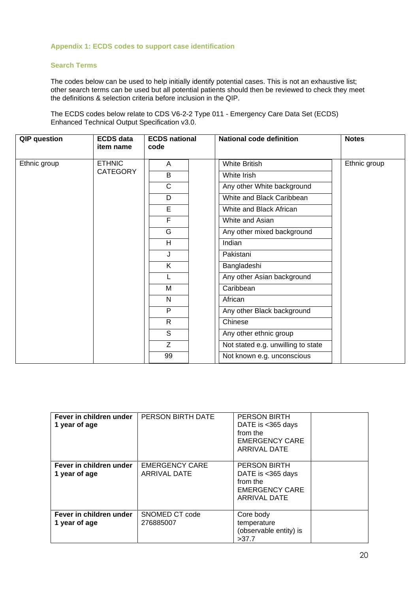#### <span id="page-18-0"></span>**Appendix 1: ECDS codes to support case identification**

#### **Search Terms**

The codes below can be used to help initially identify potential cases. This is not an exhaustive list; other search terms can be used but all potential patients should then be reviewed to check they meet the definitions & selection criteria before inclusion in the QIP.

The ECDS codes below relate to CDS V6-2-2 Type 011 - Emergency Care Data Set (ECDS) Enhanced Technical Output Specification v3.0.

| <b>QIP</b> question | <b>ECDS</b> data<br>item name | <b>ECDS national</b><br>code | <b>National code definition</b>    | <b>Notes</b> |
|---------------------|-------------------------------|------------------------------|------------------------------------|--------------|
| Ethnic group        | <b>ETHNIC</b>                 | A                            | <b>White British</b>               | Ethnic group |
|                     | <b>CATEGORY</b>               | B                            | White Irish                        |              |
|                     |                               | $\mathsf{C}$                 | Any other White background         |              |
|                     |                               | D                            | White and Black Caribbean          |              |
|                     |                               | E                            | White and Black African            |              |
|                     |                               | F                            | White and Asian                    |              |
|                     |                               | G                            | Any other mixed background         |              |
|                     |                               | H                            | Indian                             |              |
|                     |                               | J                            | Pakistani                          |              |
|                     |                               | K                            | Bangladeshi                        |              |
|                     |                               | L                            | Any other Asian background         |              |
|                     |                               | M                            | Caribbean                          |              |
|                     |                               | N                            | African                            |              |
|                     |                               | P                            | Any other Black background         |              |
|                     |                               | $\mathsf{R}$                 | Chinese                            |              |
|                     |                               | S                            | Any other ethnic group             |              |
|                     |                               | Z                            | Not stated e.g. unwilling to state |              |
|                     |                               | 99                           | Not known e.g. unconscious         |              |

| Fever in children under<br>1 year of age | PERSON BIRTH DATE                            | <b>PERSON BIRTH</b><br>DATE is $<$ 365 days<br>from the<br><b>EMERGENCY CARE</b><br>ARRIVAL DATE |  |
|------------------------------------------|----------------------------------------------|--------------------------------------------------------------------------------------------------|--|
| Fever in children under<br>1 year of age | <b>EMERGENCY CARE</b><br><b>ARRIVAL DATE</b> | <b>PERSON BIRTH</b><br>DATE is $<$ 365 days<br>from the<br><b>EMERGENCY CARE</b><br>ARRIVAL DATE |  |
| Fever in children under<br>1 year of age | SNOMED CT code<br>276885007                  | Core body<br>temperature<br>(observable entity) is<br>>37.7                                      |  |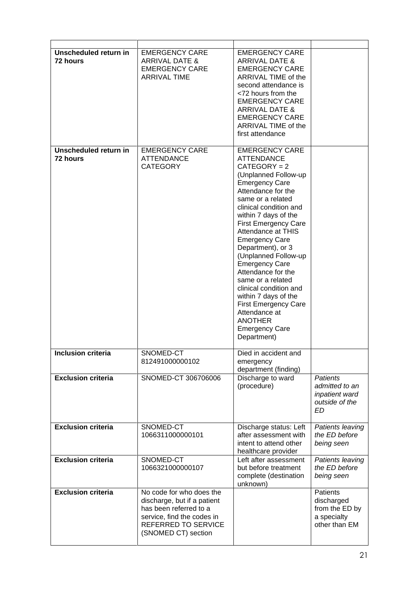| Unscheduled return in<br>72 hours | <b>EMERGENCY CARE</b><br><b>ARRIVAL DATE &amp;</b><br><b>EMERGENCY CARE</b><br><b>ARRIVAL TIME</b>                                                            | <b>EMERGENCY CARE</b><br>ARRIVAL DATE &<br><b>EMERGENCY CARE</b><br>ARRIVAL TIME of the<br>second attendance is<br><72 hours from the<br><b>EMERGENCY CARE</b><br><b>ARRIVAL DATE &amp;</b><br><b>EMERGENCY CARE</b><br>ARRIVAL TIME of the<br>first attendance                                                                                                                                                                                                                                                                                                       |                                                                             |
|-----------------------------------|---------------------------------------------------------------------------------------------------------------------------------------------------------------|-----------------------------------------------------------------------------------------------------------------------------------------------------------------------------------------------------------------------------------------------------------------------------------------------------------------------------------------------------------------------------------------------------------------------------------------------------------------------------------------------------------------------------------------------------------------------|-----------------------------------------------------------------------------|
| Unscheduled return in<br>72 hours | <b>EMERGENCY CARE</b><br><b>ATTENDANCE</b><br><b>CATEGORY</b>                                                                                                 | <b>EMERGENCY CARE</b><br><b>ATTENDANCE</b><br>$CATEGORY = 2$<br>(Unplanned Follow-up<br><b>Emergency Care</b><br>Attendance for the<br>same or a related<br>clinical condition and<br>within 7 days of the<br><b>First Emergency Care</b><br>Attendance at THIS<br><b>Emergency Care</b><br>Department), or 3<br>(Unplanned Follow-up<br><b>Emergency Care</b><br>Attendance for the<br>same or a related<br>clinical condition and<br>within 7 days of the<br><b>First Emergency Care</b><br>Attendance at<br><b>ANOTHER</b><br><b>Emergency Care</b><br>Department) |                                                                             |
| Inclusion criteria                | SNOMED-CT<br>812491000000102                                                                                                                                  | Died in accident and<br>emergency<br>department (finding)                                                                                                                                                                                                                                                                                                                                                                                                                                                                                                             |                                                                             |
| <b>Exclusion criteria</b>         | SNOMED-CT 306706006                                                                                                                                           | Discharge to ward<br>(procedure)                                                                                                                                                                                                                                                                                                                                                                                                                                                                                                                                      | <b>Patients</b><br>admitted to an<br>inpatient ward<br>outside of the<br>ED |
| <b>Exclusion criteria</b>         | SNOMED-CT<br>1066311000000101                                                                                                                                 | Discharge status: Left<br>after assessment with<br>intent to attend other<br>healthcare provider                                                                                                                                                                                                                                                                                                                                                                                                                                                                      | Patients leaving<br>the ED before<br>being seen                             |
| <b>Exclusion criteria</b>         | SNOMED-CT<br>1066321000000107                                                                                                                                 | Left after assessment<br>but before treatment<br>complete (destination<br>unknown)                                                                                                                                                                                                                                                                                                                                                                                                                                                                                    | Patients leaving<br>the ED before<br>being seen                             |
| <b>Exclusion criteria</b>         | No code for who does the<br>discharge, but if a patient<br>has been referred to a<br>service, find the codes in<br>REFERRED TO SERVICE<br>(SNOMED CT) section |                                                                                                                                                                                                                                                                                                                                                                                                                                                                                                                                                                       | Patients<br>discharged<br>from the ED by<br>a specialty<br>other than EM    |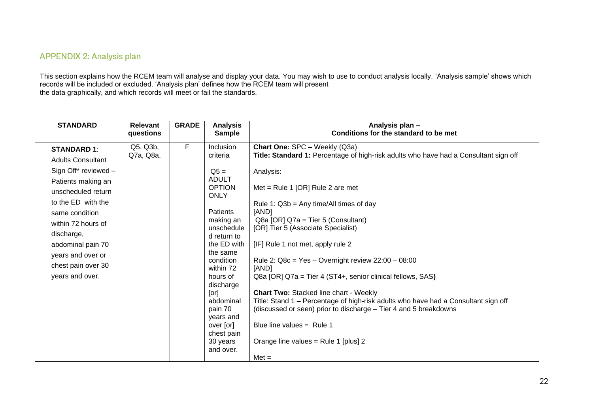# **APPENDIX 2: Analysis plan**

This section explains how the RCEM team will analyse and display your data. You may wish to use to conduct analysis locally. 'Analysis sample' shows which records will be included or excluded. 'Analysis plan' defines how the RCEM team will present the data graphically, and which records will meet or fail the standards.

<span id="page-20-0"></span>

| <b>STANDARD</b>          | <b>Relevant</b><br>questions | <b>GRADE</b> | <b>Analysis</b><br><b>Sample</b> | Analysis plan -<br>Conditions for the standard to be met                             |
|--------------------------|------------------------------|--------------|----------------------------------|--------------------------------------------------------------------------------------|
|                          |                              |              |                                  |                                                                                      |
| <b>STANDARD 1:</b>       | Q5, Q3b,                     | F            | Inclusion                        | Chart One: SPC - Weekly (Q3a)                                                        |
| <b>Adults Consultant</b> | Q7a, Q8a,                    |              | criteria                         | Title: Standard 1: Percentage of high-risk adults who have had a Consultant sign off |
| Sign Off* reviewed -     |                              |              | $Q5 =$                           | Analysis:                                                                            |
| Patients making an       |                              |              | <b>ADULT</b>                     |                                                                                      |
| unscheduled return       |                              |              | <b>OPTION</b>                    | Met = Rule 1 [OR] Rule 2 are met                                                     |
| to the ED with the       |                              |              | <b>ONLY</b>                      |                                                                                      |
|                          |                              |              |                                  | Rule 1: $Q3b = Any time/All times of day$                                            |
| same condition           |                              |              | Patients                         | [AND]                                                                                |
| within 72 hours of       |                              |              | making an<br>unschedule          | $Q8a$ [OR] $Q7a$ = Tier 5 (Consultant)<br>[OR] Tier 5 (Associate Specialist)         |
| discharge,               |                              |              | d return to                      |                                                                                      |
| abdominal pain 70        |                              |              | the ED with                      | [IF] Rule 1 not met, apply rule 2                                                    |
|                          |                              |              | the same                         |                                                                                      |
| years and over or        |                              |              | condition                        | Rule 2: $Q8c = Yes - Overnight review 22:00 - 08:00$                                 |
| chest pain over 30       |                              |              | within 72                        | [AND]                                                                                |
| years and over.          |                              |              | hours of                         | Q8a [OR] Q7a = Tier 4 (ST4+, senior clinical fellows, SAS)                           |
|                          |                              |              | discharge                        |                                                                                      |
|                          |                              |              | [or]                             | <b>Chart Two: Stacked line chart - Weekly</b>                                        |
|                          |                              |              | abdominal                        | Title: Stand 1 – Percentage of high-risk adults who have had a Consultant sign off   |
|                          |                              |              | pain 70                          | (discussed or seen) prior to discharge - Tier 4 and 5 breakdowns                     |
|                          |                              |              | years and                        |                                                                                      |
|                          |                              |              | over [or]                        | Blue line values $=$ Rule 1                                                          |
|                          |                              |              | chest pain<br>30 years           | Orange line values = Rule 1 [plus] 2                                                 |
|                          |                              |              | and over.                        |                                                                                      |
|                          |                              |              |                                  | $Met =$                                                                              |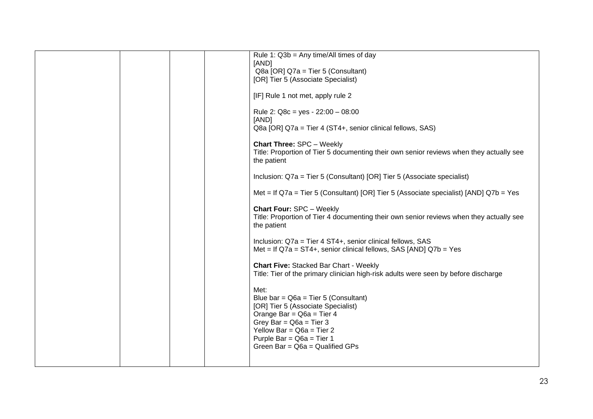|  | Rule 1: $Q3b = Any time/All times of day$                                                 |
|--|-------------------------------------------------------------------------------------------|
|  | [AND]                                                                                     |
|  | Q8a [OR] Q7a = Tier 5 (Consultant)<br>[OR] Tier 5 (Associate Specialist)                  |
|  |                                                                                           |
|  | [IF] Rule 1 not met, apply rule 2                                                         |
|  | Rule 2: $Q8c = yes - 22:00 - 08:00$                                                       |
|  | [AND]                                                                                     |
|  | Q8a [OR] Q7a = Tier 4 (ST4+, senior clinical fellows, SAS)                                |
|  | <b>Chart Three: SPC - Weekly</b>                                                          |
|  | Title: Proportion of Tier 5 documenting their own senior reviews when they actually see   |
|  | the patient                                                                               |
|  | Inclusion: Q7a = Tier 5 (Consultant) [OR] Tier 5 (Associate specialist)                   |
|  |                                                                                           |
|  | Met = If $Q7a$ = Tier 5 (Consultant) [OR] Tier 5 (Associate specialist) [AND] $Q7b$ = Yes |
|  | <b>Chart Four: SPC - Weekly</b>                                                           |
|  | Title: Proportion of Tier 4 documenting their own senior reviews when they actually see   |
|  | the patient                                                                               |
|  | Inclusion: Q7a = Tier 4 ST4+, senior clinical fellows, SAS                                |
|  | Met = If $Q7a = ST4+$ , senior clinical fellows, SAS [AND] $Q7b = Yes$                    |
|  |                                                                                           |
|  | <b>Chart Five: Stacked Bar Chart - Weekly</b>                                             |
|  | Title: Tier of the primary clinician high-risk adults were seen by before discharge       |
|  | Met:                                                                                      |
|  | Blue bar = $Q6a$ = Tier 5 (Consultant)                                                    |
|  | [OR] Tier 5 (Associate Specialist)                                                        |
|  | Orange Bar = $Q6a$ = Tier 4                                                               |
|  | Grey Bar = $Q6a$ = Tier 3<br>Yellow Bar = $Q6a$ = Tier 2                                  |
|  | Purple Bar = $Q6a$ = Tier 1                                                               |
|  | Green Bar = $Q6a$ = Qualified GPs                                                         |
|  |                                                                                           |
|  |                                                                                           |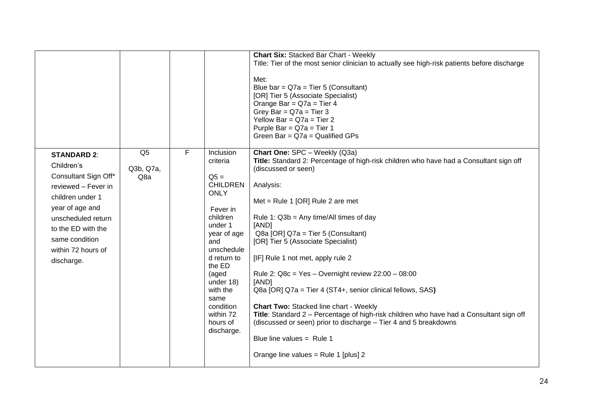|                                                                                                                                                                                                                          |                                    |   |                                                                                                                                                                                                                                                                 | <b>Chart Six: Stacked Bar Chart - Weekly</b><br>Title: Tier of the most senior clinician to actually see high-risk patients before discharge<br>Met:<br>Blue bar = $Q7a$ = Tier 5 (Consultant)<br>[OR] Tier 5 (Associate Specialist)<br>Orange Bar = $Q7a$ = Tier 4<br>Grey Bar = $Q7a$ = Tier 3<br>Yellow Bar = $Q7a$ = Tier 2<br>Purple Bar = $Q7a$ = Tier 1<br>Green Bar = $Q7a$ = Qualified GPs                                                                                                                                                                                                                                                                                                                                                                                          |
|--------------------------------------------------------------------------------------------------------------------------------------------------------------------------------------------------------------------------|------------------------------------|---|-----------------------------------------------------------------------------------------------------------------------------------------------------------------------------------------------------------------------------------------------------------------|----------------------------------------------------------------------------------------------------------------------------------------------------------------------------------------------------------------------------------------------------------------------------------------------------------------------------------------------------------------------------------------------------------------------------------------------------------------------------------------------------------------------------------------------------------------------------------------------------------------------------------------------------------------------------------------------------------------------------------------------------------------------------------------------|
| <b>STANDARD 2:</b><br>Children's<br>Consultant Sign Off*<br>reviewed - Fever in<br>children under 1<br>year of age and<br>unscheduled return<br>to the ED with the<br>same condition<br>within 72 hours of<br>discharge. | Q <sub>5</sub><br>Q3b, Q7a,<br>Q8a | F | Inclusion<br>criteria<br>$Q5 =$<br><b>CHILDREN</b><br><b>ONLY</b><br>Fever in<br>children<br>under 1<br>year of age<br>and<br>unschedule<br>d return to<br>the ED<br>(aged<br>under 18)<br>with the<br>same<br>condition<br>within 72<br>hours of<br>discharge. | Chart One: SPC - Weekly (Q3a)<br>Title: Standard 2: Percentage of high-risk children who have had a Consultant sign off<br>(discussed or seen)<br>Analysis:<br>Met = Rule 1 [OR] Rule 2 are met<br>Rule 1: $Q3b = Any time/All times of day$<br>[AND]<br>Q8a [OR] Q7a = Tier 5 (Consultant)<br>[OR] Tier 5 (Associate Specialist)<br>[IF] Rule 1 not met, apply rule 2<br>Rule 2: $Q8c = Yes - Overnight review 22:00 - 08:00$<br>[AND]<br>Q8a [OR] Q7a = Tier 4 (ST4+, senior clinical fellows, SAS)<br><b>Chart Two: Stacked line chart - Weekly</b><br>Title: Standard 2 - Percentage of high-risk children who have had a Consultant sign off<br>(discussed or seen) prior to discharge – Tier 4 and 5 breakdowns<br>Blue line values = $Rule 1$<br>Orange line values = Rule 1 [plus] 2 |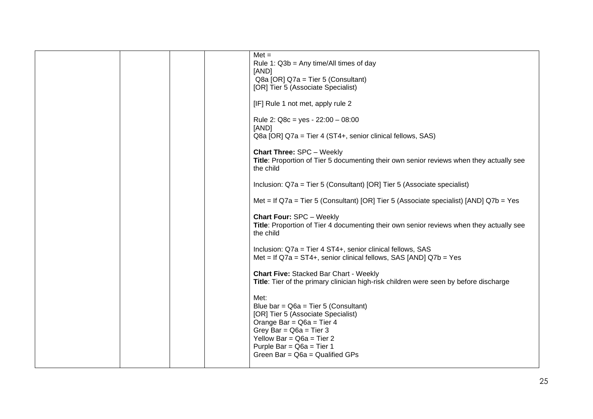|  | $Met =$                                                                                   |
|--|-------------------------------------------------------------------------------------------|
|  | Rule 1: $Q3b = Any time/All times of day$                                                 |
|  | [AND]                                                                                     |
|  | Q8a [OR] Q7a = Tier 5 (Consultant)                                                        |
|  | [OR] Tier 5 (Associate Specialist)                                                        |
|  | [IF] Rule 1 not met, apply rule 2                                                         |
|  | Rule 2: Q8c = yes - $22:00 - 08:00$                                                       |
|  | [AND]                                                                                     |
|  | Q8a [OR] Q7a = Tier 4 (ST4+, senior clinical fellows, SAS)                                |
|  | <b>Chart Three: SPC - Weekly</b>                                                          |
|  | Title: Proportion of Tier 5 documenting their own senior reviews when they actually see   |
|  | the child                                                                                 |
|  |                                                                                           |
|  | Inclusion: Q7a = Tier 5 (Consultant) [OR] Tier 5 (Associate specialist)                   |
|  |                                                                                           |
|  | Met = If $Q7a$ = Tier 5 (Consultant) [OR] Tier 5 (Associate specialist) [AND] $Q7b$ = Yes |
|  | <b>Chart Four: SPC - Weekly</b>                                                           |
|  | Title: Proportion of Tier 4 documenting their own senior reviews when they actually see   |
|  | the child                                                                                 |
|  |                                                                                           |
|  | Inclusion: Q7a = Tier 4 ST4+, senior clinical fellows, SAS                                |
|  | Met = If $Q7a = ST4+$ , senior clinical fellows, SAS [AND] $Q7b = Yes$                    |
|  | <b>Chart Five: Stacked Bar Chart - Weekly</b>                                             |
|  | Title: Tier of the primary clinician high-risk children were seen by before discharge     |
|  |                                                                                           |
|  | Met:                                                                                      |
|  | Blue bar = $Q6a$ = Tier 5 (Consultant)                                                    |
|  | [OR] Tier 5 (Associate Specialist)                                                        |
|  | Orange Bar = $Q6a$ = Tier 4                                                               |
|  | Grey Bar = $Q6a$ = Tier 3<br>Yellow Bar = $Q6a$ = Tier 2                                  |
|  | Purple Bar = $Q6a$ = Tier 1                                                               |
|  | Green Bar = $Q6a$ = Qualified GPs                                                         |
|  |                                                                                           |
|  |                                                                                           |